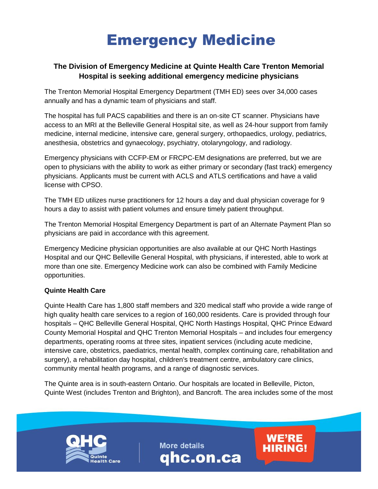## Emergency Medicine

## **The Division of Emergency Medicine at Quinte Health Care Trenton Memorial Hospital is seeking additional emergency medicine physicians**

The Trenton Memorial Hospital Emergency Department (TMH ED) sees over 34,000 cases annually and has a dynamic team of physicians and staff.

The hospital has full PACS capabilities and there is an on-site CT scanner. Physicians have access to an MRI at the Belleville General Hospital site, as well as 24-hour support from family medicine, internal medicine, intensive care, general surgery, orthopaedics, urology, pediatrics, anesthesia, obstetrics and gynaecology, psychiatry, otolaryngology, and radiology.

Emergency physicians with CCFP-EM or FRCPC-EM designations are preferred, but we are open to physicians with the ability to work as either primary or secondary (fast track) emergency physicians. Applicants must be current with ACLS and ATLS certifications and have a valid license with CPSO.

The TMH ED utilizes nurse practitioners for 12 hours a day and dual physician coverage for 9 hours a day to assist with patient volumes and ensure timely patient throughput.

The Trenton Memorial Hospital Emergency Department is part of an Alternate Payment Plan so physicians are paid in accordance with this agreement.

Emergency Medicine physician opportunities are also available at our QHC North Hastings Hospital and our QHC Belleville General Hospital, with physicians, if interested, able to work at more than one site. Emergency Medicine work can also be combined with Family Medicine opportunities.

## **Quinte Health Care**

Quinte Health Care has 1,800 staff members and 320 medical staff who provide a wide range of high quality health care services to a region of 160,000 residents. Care is provided through four hospitals – QHC Belleville General Hospital, QHC North Hastings Hospital, QHC Prince Edward County Memorial Hospital and QHC Trenton Memorial Hospitals – and includes four emergency departments, operating rooms at three sites, inpatient services (including acute medicine, intensive care, obstetrics, paediatrics, mental health, complex continuing care, rehabilitation and surgery), a rehabilitation day hospital, children's treatment centre, ambulatory care clinics, community mental health programs, and a range of diagnostic services.

The Quinte area is in south-eastern Ontario. Our hospitals are located in Belleville, Picton, Quinte West (includes Trenton and Brighton), and Bancroft. The area includes some of the most

**More details** 

qhc.on.ca

**WE'RE<br>HIRING!**